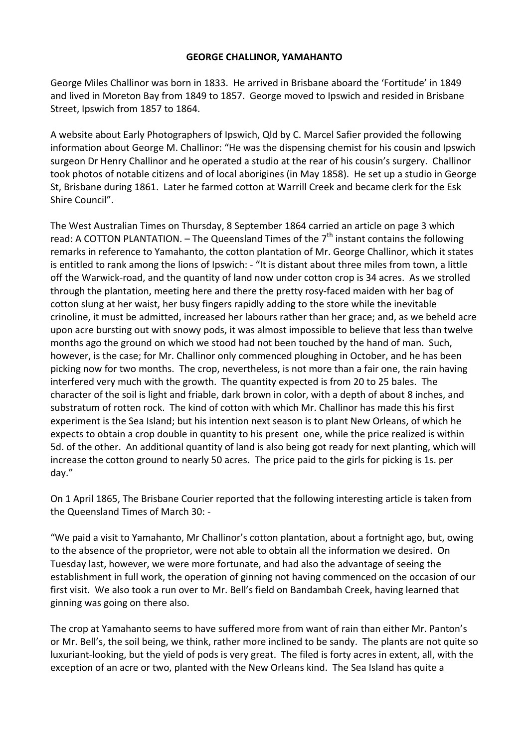## **GEORGE CHALLINOR, YAMAHANTO**

George Miles Challinor was born in 1833. He arrived in Brisbane aboard the 'Fortitude' in 1849 and lived in Moreton Bay from 1849 to 1857. George moved to Ipswich and resided in Brisbane Street, Ipswich from 1857 to 1864.

A website about Early Photographers of Ipswich, Qld by C. Marcel Safier provided the following information about George M. Challinor: "He was the dispensing chemist for his cousin and Ipswich surgeon Dr Henry Challinor and he operated a studio at the rear of his cousin's surgery. Challinor took photos of notable citizens and of local aborigines (in May 1858). He set up a studio in George St, Brisbane during 1861. Later he farmed cotton at Warrill Creek and became clerk for the Esk Shire Council".

The West Australian Times on Thursday, 8 September 1864 carried an article on page 3 which read: A COTTON PLANTATION. – The Queensland Times of the  $7<sup>th</sup>$  instant contains the following remarks in reference to Yamahanto, the cotton plantation of Mr. George Challinor, which it states is entitled to rank among the lions of Ipswich: ‐ "It is distant about three miles from town, a little off the Warwick‐road, and the quantity of land now under cotton crop is 34 acres. As we strolled through the plantation, meeting here and there the pretty rosy‐faced maiden with her bag of cotton slung at her waist, her busy fingers rapidly adding to the store while the inevitable crinoline, it must be admitted, increased her labours rather than her grace; and, as we beheld acre upon acre bursting out with snowy pods, it was almost impossible to believe that less than twelve months ago the ground on which we stood had not been touched by the hand of man. Such, however, is the case; for Mr. Challinor only commenced ploughing in October, and he has been picking now for two months. The crop, nevertheless, is not more than a fair one, the rain having interfered very much with the growth. The quantity expected is from 20 to 25 bales. The character of the soil is light and friable, dark brown in color, with a depth of about 8 inches, and substratum of rotten rock. The kind of cotton with which Mr. Challinor has made this his first experiment is the Sea Island; but his intention next season is to plant New Orleans, of which he expects to obtain a crop double in quantity to his present one, while the price realized is within 5d. of the other. An additional quantity of land is also being got ready for next planting, which will increase the cotton ground to nearly 50 acres. The price paid to the girls for picking is 1s. per day."

On 1 April 1865, The Brisbane Courier reported that the following interesting article is taken from the Queensland Times of March 30: ‐

"We paid a visit to Yamahanto, Mr Challinor's cotton plantation, about a fortnight ago, but, owing to the absence of the proprietor, were not able to obtain all the information we desired. On Tuesday last, however, we were more fortunate, and had also the advantage of seeing the establishment in full work, the operation of ginning not having commenced on the occasion of our first visit. We also took a run over to Mr. Bell's field on Bandambah Creek, having learned that ginning was going on there also.

The crop at Yamahanto seems to have suffered more from want of rain than either Mr. Panton's or Mr. Bell's, the soil being, we think, rather more inclined to be sandy. The plants are not quite so luxuriant‐looking, but the yield of pods is very great. The filed is forty acres in extent, all, with the exception of an acre or two, planted with the New Orleans kind. The Sea Island has quite a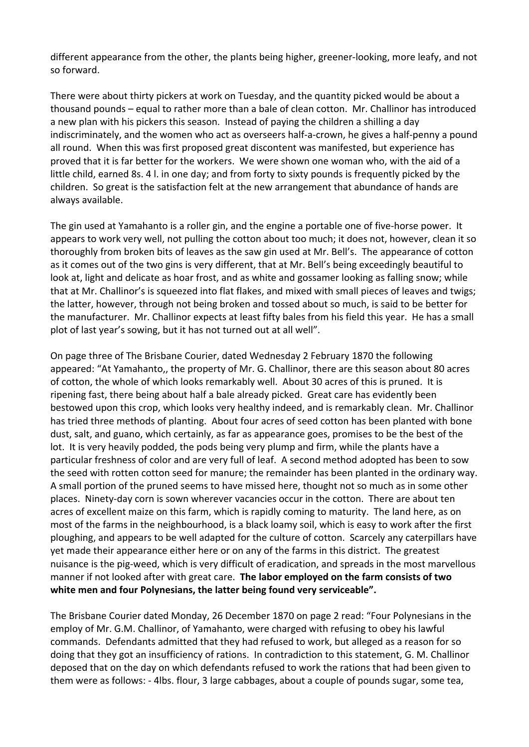different appearance from the other, the plants being higher, greener‐looking, more leafy, and not so forward.

There were about thirty pickers at work on Tuesday, and the quantity picked would be about a thousand pounds – equal to rather more than a bale of clean cotton. Mr. Challinor has introduced a new plan with his pickers this season. Instead of paying the children a shilling a day indiscriminately, and the women who act as overseers half‐a‐crown, he gives a half‐penny a pound all round. When this was first proposed great discontent was manifested, but experience has proved that it is far better for the workers. We were shown one woman who, with the aid of a little child, earned 8s. 4 l. in one day; and from forty to sixty pounds is frequently picked by the children. So great is the satisfaction felt at the new arrangement that abundance of hands are always available.

The gin used at Yamahanto is a roller gin, and the engine a portable one of five-horse power. It appears to work very well, not pulling the cotton about too much; it does not, however, clean it so thoroughly from broken bits of leaves as the saw gin used at Mr. Bell's. The appearance of cotton as it comes out of the two gins is very different, that at Mr. Bell's being exceedingly beautiful to look at, light and delicate as hoar frost, and as white and gossamer looking as falling snow; while that at Mr. Challinor's is squeezed into flat flakes, and mixed with small pieces of leaves and twigs; the latter, however, through not being broken and tossed about so much, is said to be better for the manufacturer. Mr. Challinor expects at least fifty bales from his field this year. He has a small plot of last year's sowing, but it has not turned out at all well".

On page three of The Brisbane Courier, dated Wednesday 2 February 1870 the following appeared: "At Yamahanto,, the property of Mr. G. Challinor, there are this season about 80 acres of cotton, the whole of which looks remarkably well. About 30 acres of this is pruned. It is ripening fast, there being about half a bale already picked. Great care has evidently been bestowed upon this crop, which looks very healthy indeed, and is remarkably clean. Mr. Challinor has tried three methods of planting. About four acres of seed cotton has been planted with bone dust, salt, and guano, which certainly, as far as appearance goes, promises to be the best of the lot. It is very heavily podded, the pods being very plump and firm, while the plants have a particular freshness of color and are very full of leaf. A second method adopted has been to sow the seed with rotten cotton seed for manure; the remainder has been planted in the ordinary way. A small portion of the pruned seems to have missed here, thought not so much as in some other places. Ninety‐day corn is sown wherever vacancies occur in the cotton. There are about ten acres of excellent maize on this farm, which is rapidly coming to maturity. The land here, as on most of the farms in the neighbourhood, is a black loamy soil, which is easy to work after the first ploughing, and appears to be well adapted for the culture of cotton. Scarcely any caterpillars have yet made their appearance either here or on any of the farms in this district. The greatest nuisance is the pig‐weed, which is very difficult of eradication, and spreads in the most marvellous manner if not looked after with great care. **The labor employed on the farm consists of two white men and four Polynesians, the latter being found very serviceable".**

The Brisbane Courier dated Monday, 26 December 1870 on page 2 read: "Four Polynesians in the employ of Mr. G.M. Challinor, of Yamahanto, were charged with refusing to obey his lawful commands. Defendants admitted that they had refused to work, but alleged as a reason for so doing that they got an insufficiency of rations. In contradiction to this statement, G. M. Challinor deposed that on the day on which defendants refused to work the rations that had been given to them were as follows: ‐ 4lbs. flour, 3 large cabbages, about a couple of pounds sugar, some tea,